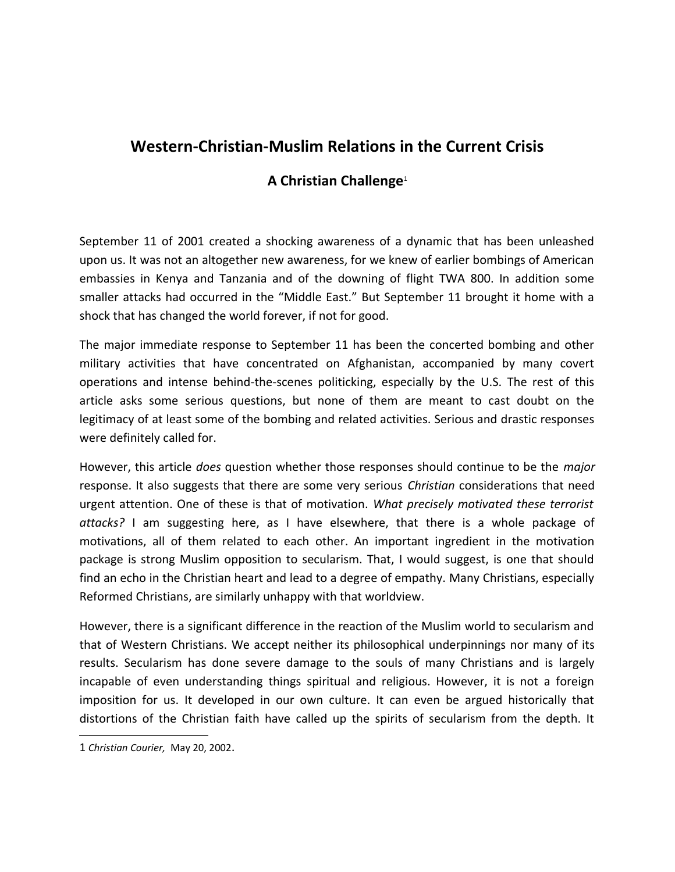## **Western-Christian-Muslim Relations in the Current Crisis**

## **A Christian Challenge**[1](#page-0-0)

September 11 of 2001 created a shocking awareness of a dynamic that has been unleashed upon us. It was not an altogether new awareness, for we knew of earlier bombings of American embassies in Kenya and Tanzania and of the downing of flight TWA 800. In addition some smaller attacks had occurred in the "Middle East." But September 11 brought it home with a shock that has changed the world forever, if not for good.

The major immediate response to September 11 has been the concerted bombing and other military activities that have concentrated on Afghanistan, accompanied by many covert operations and intense behind-the-scenes politicking, especially by the U.S. The rest of this article asks some serious questions, but none of them are meant to cast doubt on the legitimacy of at least some of the bombing and related activities. Serious and drastic responses were definitely called for.

However, this article *does* question whether those responses should continue to be the *major* response. It also suggests that there are some very serious *Christian* considerations that need urgent attention. One of these is that of motivation. *What precisely motivated these terrorist attacks?* I am suggesting here, as I have elsewhere, that there is a whole package of motivations, all of them related to each other. An important ingredient in the motivation package is strong Muslim opposition to secularism. That, I would suggest, is one that should find an echo in the Christian heart and lead to a degree of empathy. Many Christians, especially Reformed Christians, are similarly unhappy with that worldview.

However, there is a significant difference in the reaction of the Muslim world to secularism and that of Western Christians. We accept neither its philosophical underpinnings nor many of its results. Secularism has done severe damage to the souls of many Christians and is largely incapable of even understanding things spiritual and religious. However, it is not a foreign imposition for us. It developed in our own culture. It can even be argued historically that distortions of the Christian faith have called up the spirits of secularism from the depth. It

<span id="page-0-0"></span><sup>1</sup> *Christian Courier,* May 20, 2002.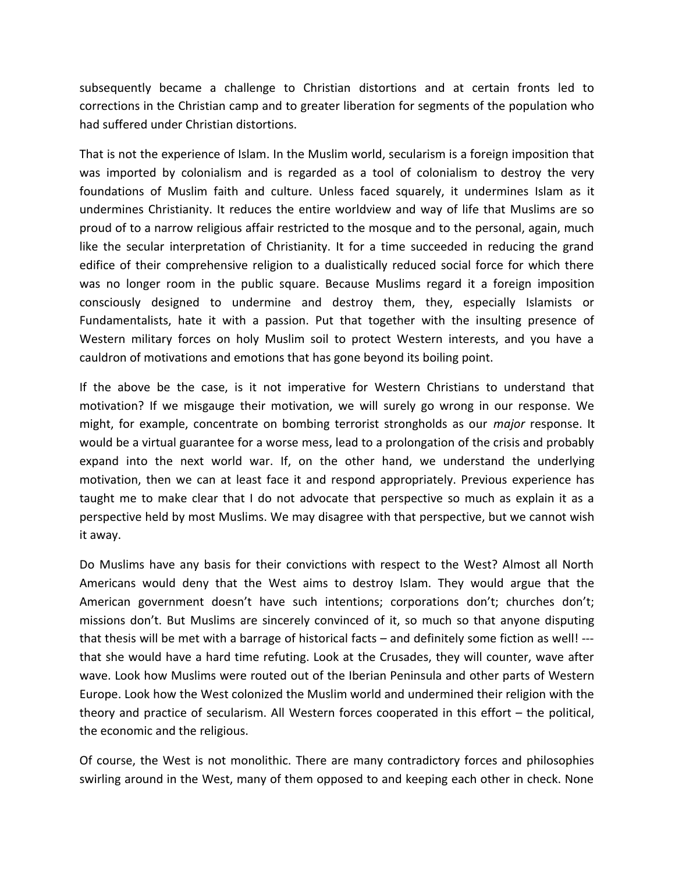subsequently became a challenge to Christian distortions and at certain fronts led to corrections in the Christian camp and to greater liberation for segments of the population who had suffered under Christian distortions.

That is not the experience of Islam. In the Muslim world, secularism is a foreign imposition that was imported by colonialism and is regarded as a tool of colonialism to destroy the very foundations of Muslim faith and culture. Unless faced squarely, it undermines Islam as it undermines Christianity. It reduces the entire worldview and way of life that Muslims are so proud of to a narrow religious affair restricted to the mosque and to the personal, again, much like the secular interpretation of Christianity. It for a time succeeded in reducing the grand edifice of their comprehensive religion to a dualistically reduced social force for which there was no longer room in the public square. Because Muslims regard it a foreign imposition consciously designed to undermine and destroy them, they, especially Islamists or Fundamentalists, hate it with a passion. Put that together with the insulting presence of Western military forces on holy Muslim soil to protect Western interests, and you have a cauldron of motivations and emotions that has gone beyond its boiling point.

If the above be the case, is it not imperative for Western Christians to understand that motivation? If we misgauge their motivation, we will surely go wrong in our response. We might, for example, concentrate on bombing terrorist strongholds as our *major* response. It would be a virtual guarantee for a worse mess, lead to a prolongation of the crisis and probably expand into the next world war. If, on the other hand, we understand the underlying motivation, then we can at least face it and respond appropriately. Previous experience has taught me to make clear that I do not advocate that perspective so much as explain it as a perspective held by most Muslims. We may disagree with that perspective, but we cannot wish it away.

Do Muslims have any basis for their convictions with respect to the West? Almost all North Americans would deny that the West aims to destroy Islam. They would argue that the American government doesn't have such intentions; corporations don't; churches don't; missions don't. But Muslims are sincerely convinced of it, so much so that anyone disputing that thesis will be met with a barrage of historical facts – and definitely some fiction as well! -- that she would have a hard time refuting. Look at the Crusades, they will counter, wave after wave. Look how Muslims were routed out of the Iberian Peninsula and other parts of Western Europe. Look how the West colonized the Muslim world and undermined their religion with the theory and practice of secularism. All Western forces cooperated in this effort – the political, the economic and the religious.

Of course, the West is not monolithic. There are many contradictory forces and philosophies swirling around in the West, many of them opposed to and keeping each other in check. None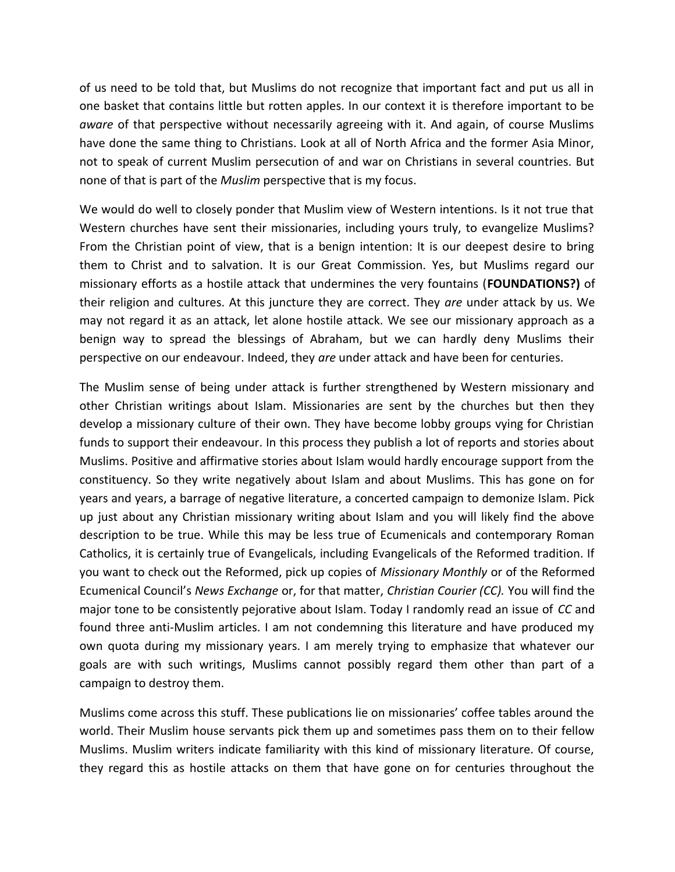of us need to be told that, but Muslims do not recognize that important fact and put us all in one basket that contains little but rotten apples. In our context it is therefore important to be *aware* of that perspective without necessarily agreeing with it. And again, of course Muslims have done the same thing to Christians. Look at all of North Africa and the former Asia Minor, not to speak of current Muslim persecution of and war on Christians in several countries. But none of that is part of the *Muslim* perspective that is my focus.

We would do well to closely ponder that Muslim view of Western intentions. Is it not true that Western churches have sent their missionaries, including yours truly, to evangelize Muslims? From the Christian point of view, that is a benign intention: It is our deepest desire to bring them to Christ and to salvation. It is our Great Commission. Yes, but Muslims regard our missionary efforts as a hostile attack that undermines the very fountains (**FOUNDATIONS?)** of their religion and cultures. At this juncture they are correct. They *are* under attack by us. We may not regard it as an attack, let alone hostile attack. We see our missionary approach as a benign way to spread the blessings of Abraham, but we can hardly deny Muslims their perspective on our endeavour. Indeed, they *are* under attack and have been for centuries.

The Muslim sense of being under attack is further strengthened by Western missionary and other Christian writings about Islam. Missionaries are sent by the churches but then they develop a missionary culture of their own. They have become lobby groups vying for Christian funds to support their endeavour. In this process they publish a lot of reports and stories about Muslims. Positive and affirmative stories about Islam would hardly encourage support from the constituency. So they write negatively about Islam and about Muslims. This has gone on for years and years, a barrage of negative literature, a concerted campaign to demonize Islam. Pick up just about any Christian missionary writing about Islam and you will likely find the above description to be true. While this may be less true of Ecumenicals and contemporary Roman Catholics, it is certainly true of Evangelicals, including Evangelicals of the Reformed tradition. If you want to check out the Reformed, pick up copies of *Missionary Monthly* or of the Reformed Ecumenical Council's *News Exchange* or, for that matter, *Christian Courier (CC).* You will find the major tone to be consistently pejorative about Islam. Today I randomly read an issue of *CC* and found three anti-Muslim articles. I am not condemning this literature and have produced my own quota during my missionary years. I am merely trying to emphasize that whatever our goals are with such writings, Muslims cannot possibly regard them other than part of a campaign to destroy them.

Muslims come across this stuff. These publications lie on missionaries' coffee tables around the world. Their Muslim house servants pick them up and sometimes pass them on to their fellow Muslims. Muslim writers indicate familiarity with this kind of missionary literature. Of course, they regard this as hostile attacks on them that have gone on for centuries throughout the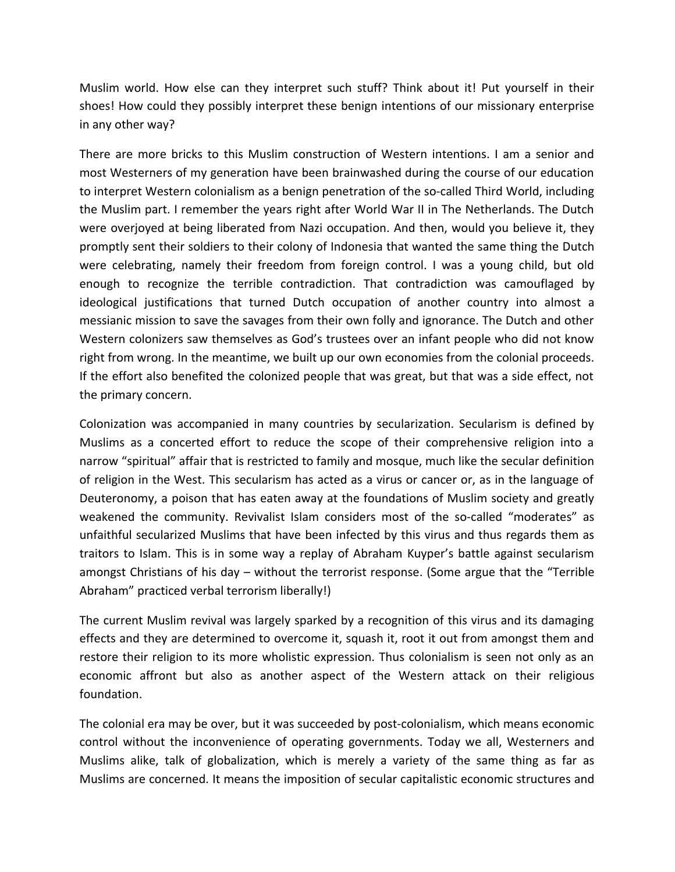Muslim world. How else can they interpret such stuff? Think about it! Put yourself in their shoes! How could they possibly interpret these benign intentions of our missionary enterprise in any other way?

There are more bricks to this Muslim construction of Western intentions. I am a senior and most Westerners of my generation have been brainwashed during the course of our education to interpret Western colonialism as a benign penetration of the so-called Third World, including the Muslim part. I remember the years right after World War II in The Netherlands. The Dutch were overjoyed at being liberated from Nazi occupation. And then, would you believe it, they promptly sent their soldiers to their colony of Indonesia that wanted the same thing the Dutch were celebrating, namely their freedom from foreign control. I was a young child, but old enough to recognize the terrible contradiction. That contradiction was camouflaged by ideological justifications that turned Dutch occupation of another country into almost a messianic mission to save the savages from their own folly and ignorance. The Dutch and other Western colonizers saw themselves as God's trustees over an infant people who did not know right from wrong. In the meantime, we built up our own economies from the colonial proceeds. If the effort also benefited the colonized people that was great, but that was a side effect, not the primary concern.

Colonization was accompanied in many countries by secularization. Secularism is defined by Muslims as a concerted effort to reduce the scope of their comprehensive religion into a narrow "spiritual" affair that is restricted to family and mosque, much like the secular definition of religion in the West. This secularism has acted as a virus or cancer or, as in the language of Deuteronomy, a poison that has eaten away at the foundations of Muslim society and greatly weakened the community. Revivalist Islam considers most of the so-called "moderates" as unfaithful secularized Muslims that have been infected by this virus and thus regards them as traitors to Islam. This is in some way a replay of Abraham Kuyper's battle against secularism amongst Christians of his day – without the terrorist response. (Some argue that the "Terrible Abraham" practiced verbal terrorism liberally!)

The current Muslim revival was largely sparked by a recognition of this virus and its damaging effects and they are determined to overcome it, squash it, root it out from amongst them and restore their religion to its more wholistic expression. Thus colonialism is seen not only as an economic affront but also as another aspect of the Western attack on their religious foundation.

The colonial era may be over, but it was succeeded by post-colonialism, which means economic control without the inconvenience of operating governments. Today we all, Westerners and Muslims alike, talk of globalization, which is merely a variety of the same thing as far as Muslims are concerned. It means the imposition of secular capitalistic economic structures and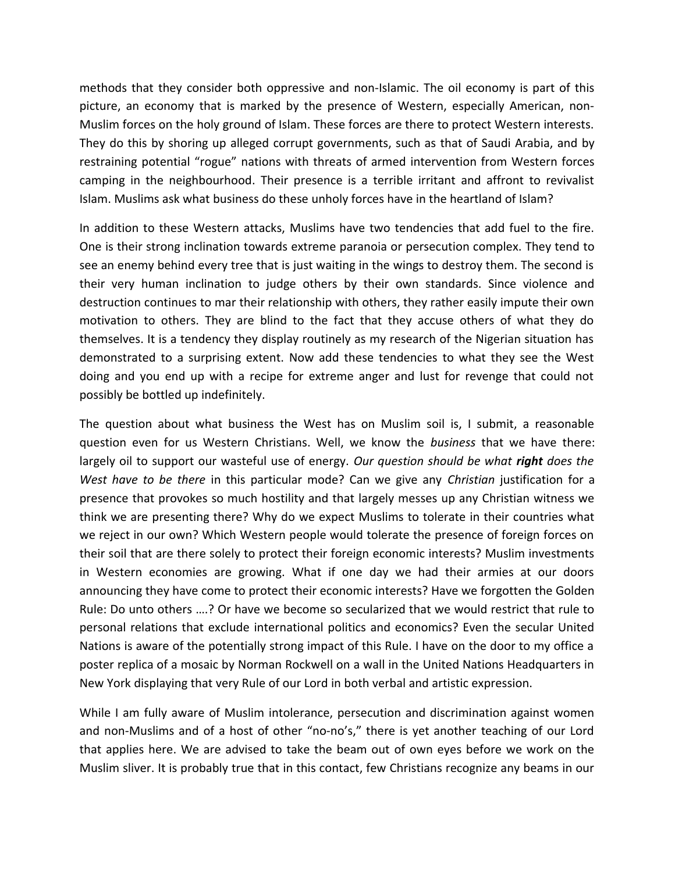methods that they consider both oppressive and non-Islamic. The oil economy is part of this picture, an economy that is marked by the presence of Western, especially American, non-Muslim forces on the holy ground of Islam. These forces are there to protect Western interests. They do this by shoring up alleged corrupt governments, such as that of Saudi Arabia, and by restraining potential "rogue" nations with threats of armed intervention from Western forces camping in the neighbourhood. Their presence is a terrible irritant and affront to revivalist Islam. Muslims ask what business do these unholy forces have in the heartland of Islam?

In addition to these Western attacks, Muslims have two tendencies that add fuel to the fire. One is their strong inclination towards extreme paranoia or persecution complex. They tend to see an enemy behind every tree that is just waiting in the wings to destroy them. The second is their very human inclination to judge others by their own standards. Since violence and destruction continues to mar their relationship with others, they rather easily impute their own motivation to others. They are blind to the fact that they accuse others of what they do themselves. It is a tendency they display routinely as my research of the Nigerian situation has demonstrated to a surprising extent. Now add these tendencies to what they see the West doing and you end up with a recipe for extreme anger and lust for revenge that could not possibly be bottled up indefinitely.

The question about what business the West has on Muslim soil is, I submit, a reasonable question even for us Western Christians. Well, we know the *business* that we have there: largely oil to support our wasteful use of energy. *Our question should be what right does the West have to be there* in this particular mode? Can we give any *Christian* justification for a presence that provokes so much hostility and that largely messes up any Christian witness we think we are presenting there? Why do we expect Muslims to tolerate in their countries what we reject in our own? Which Western people would tolerate the presence of foreign forces on their soil that are there solely to protect their foreign economic interests? Muslim investments in Western economies are growing. What if one day we had their armies at our doors announcing they have come to protect their economic interests? Have we forgotten the Golden Rule: Do unto others ….? Or have we become so secularized that we would restrict that rule to personal relations that exclude international politics and economics? Even the secular United Nations is aware of the potentially strong impact of this Rule. I have on the door to my office a poster replica of a mosaic by Norman Rockwell on a wall in the United Nations Headquarters in New York displaying that very Rule of our Lord in both verbal and artistic expression.

While I am fully aware of Muslim intolerance, persecution and discrimination against women and non-Muslims and of a host of other "no-no's," there is yet another teaching of our Lord that applies here. We are advised to take the beam out of own eyes before we work on the Muslim sliver. It is probably true that in this contact, few Christians recognize any beams in our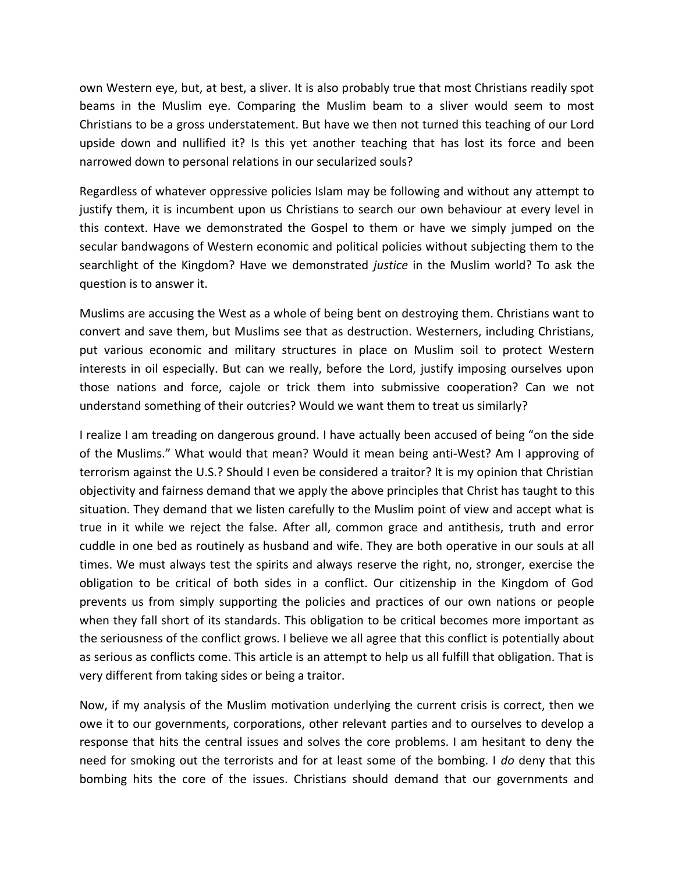own Western eye, but, at best, a sliver. It is also probably true that most Christians readily spot beams in the Muslim eye. Comparing the Muslim beam to a sliver would seem to most Christians to be a gross understatement. But have we then not turned this teaching of our Lord upside down and nullified it? Is this yet another teaching that has lost its force and been narrowed down to personal relations in our secularized souls?

Regardless of whatever oppressive policies Islam may be following and without any attempt to justify them, it is incumbent upon us Christians to search our own behaviour at every level in this context. Have we demonstrated the Gospel to them or have we simply jumped on the secular bandwagons of Western economic and political policies without subjecting them to the searchlight of the Kingdom? Have we demonstrated *justice* in the Muslim world? To ask the question is to answer it.

Muslims are accusing the West as a whole of being bent on destroying them. Christians want to convert and save them, but Muslims see that as destruction. Westerners, including Christians, put various economic and military structures in place on Muslim soil to protect Western interests in oil especially. But can we really, before the Lord, justify imposing ourselves upon those nations and force, cajole or trick them into submissive cooperation? Can we not understand something of their outcries? Would we want them to treat us similarly?

I realize I am treading on dangerous ground. I have actually been accused of being "on the side of the Muslims." What would that mean? Would it mean being anti-West? Am I approving of terrorism against the U.S.? Should I even be considered a traitor? It is my opinion that Christian objectivity and fairness demand that we apply the above principles that Christ has taught to this situation. They demand that we listen carefully to the Muslim point of view and accept what is true in it while we reject the false. After all, common grace and antithesis, truth and error cuddle in one bed as routinely as husband and wife. They are both operative in our souls at all times. We must always test the spirits and always reserve the right, no, stronger, exercise the obligation to be critical of both sides in a conflict. Our citizenship in the Kingdom of God prevents us from simply supporting the policies and practices of our own nations or people when they fall short of its standards. This obligation to be critical becomes more important as the seriousness of the conflict grows. I believe we all agree that this conflict is potentially about as serious as conflicts come. This article is an attempt to help us all fulfill that obligation. That is very different from taking sides or being a traitor.

Now, if my analysis of the Muslim motivation underlying the current crisis is correct, then we owe it to our governments, corporations, other relevant parties and to ourselves to develop a response that hits the central issues and solves the core problems. I am hesitant to deny the need for smoking out the terrorists and for at least some of the bombing. I *do* deny that this bombing hits the core of the issues. Christians should demand that our governments and